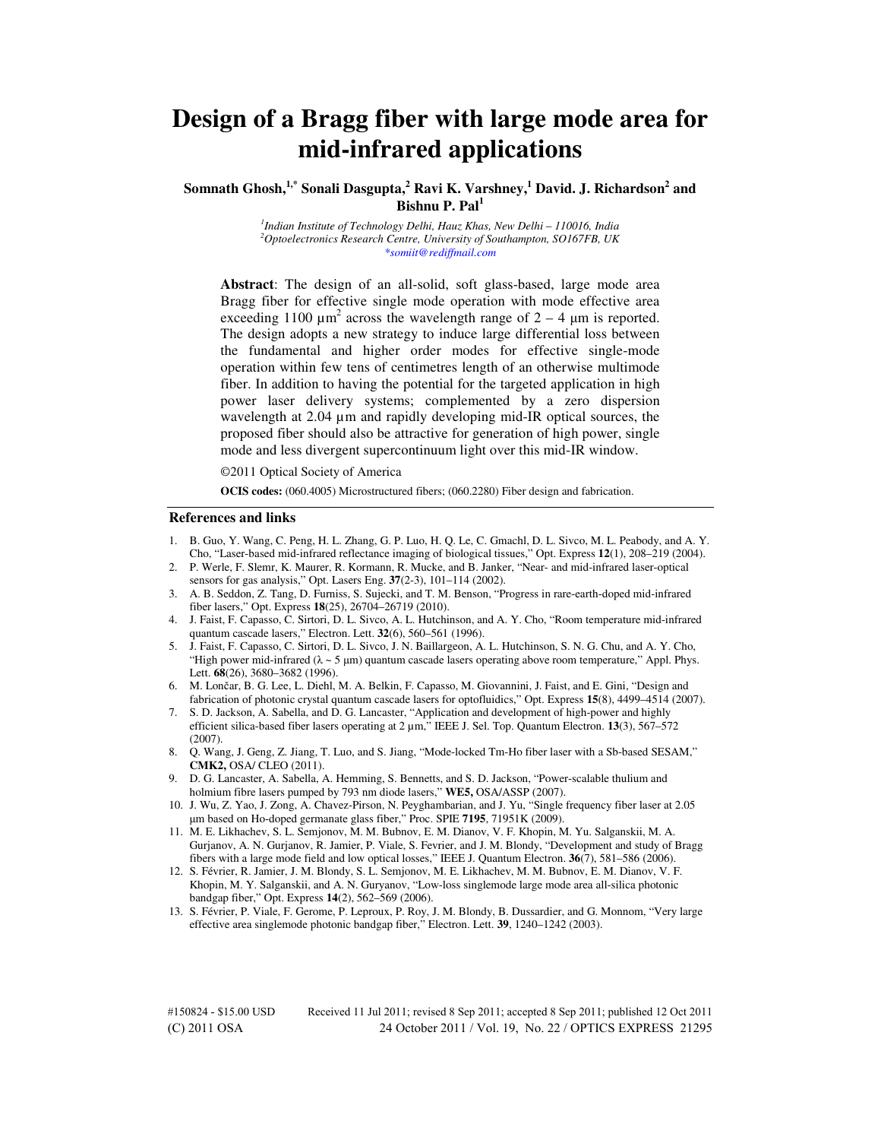# **Design of a Bragg fiber with large mode area for mid-infrared applications**

## **Somnath Ghosh,1,\* Sonali Dasgupta,<sup>2</sup> Ravi K. Varshney,<sup>1</sup> David. J. Richardson<sup>2</sup> and Bishnu P. Pal<sup>1</sup>**

*1 Indian Institute of Technology Delhi, Hauz Khas, New Delhi – 110016, India <sup>2</sup>Optoelectronics Research Centre, University of Southampton, SO167FB, UK \*somiit@rediffmail.com* 

**Abstract**: The design of an all-solid, soft glass-based, large mode area Bragg fiber for effective single mode operation with mode effective area exceeding 1100  $\mu$ m<sup>2</sup> across the wavelength range of 2 – 4  $\mu$ m is reported. The design adopts a new strategy to induce large differential loss between the fundamental and higher order modes for effective single-mode operation within few tens of centimetres length of an otherwise multimode fiber. In addition to having the potential for the targeted application in high power laser delivery systems; complemented by a zero dispersion wavelength at 2.04  $\mu$ m and rapidly developing mid-IR optical sources, the proposed fiber should also be attractive for generation of high power, single mode and less divergent supercontinuum light over this mid-IR window.

©2011 Optical Society of America

**OCIS codes:** (060.4005) Microstructured fibers; (060.2280) Fiber design and fabrication.

#### **References and links**

- 1. B. Guo, Y. Wang, C. Peng, H. L. Zhang, G. P. Luo, H. Q. Le, C. Gmachl, D. L. Sivco, M. L. Peabody, and A. Y. Cho, "Laser-based mid-infrared reflectance imaging of biological tissues," Opt. Express **12**(1), 208–219 (2004).
- 2. P. Werle, F. Slemr, K. Maurer, R. Kormann, R. Mucke, and B. Janker, "Near- and mid-infrared laser-optical sensors for gas analysis," Opt. Lasers Eng. **37**(2-3), 101–114 (2002).
- 3. A. B. Seddon, Z. Tang, D. Furniss, S. Sujecki, and T. M. Benson, "Progress in rare-earth-doped mid-infrared fiber lasers," Opt. Express **18**(25), 26704–26719 (2010).
- 4. J. Faist, F. Capasso, C. Sirtori, D. L. Sivco, A. L. Hutchinson, and A. Y. Cho, "Room temperature mid-infrared quantum cascade lasers," Electron. Lett. **32**(6), 560–561 (1996).
- 5. J. Faist, F. Capasso, C. Sirtori, D. L. Sivco, J. N. Baillargeon, A. L. Hutchinson, S. N. G. Chu, and A. Y. Cho, "High power mid-infrared  $(\lambda \sim 5 \,\mu m)$  quantum cascade lasers operating above room temperature," Appl. Phys. Lett. **68**(26), 3680–3682 (1996).
- 6. M. Lončar, B. G. Lee, L. Diehl, M. A. Belkin, F. Capasso, M. Giovannini, J. Faist, and E. Gini, "Design and fabrication of photonic crystal quantum cascade lasers for optofluidics," Opt. Express **15**(8), 4499–4514 (2007).
- 7. S. D. Jackson, A. Sabella, and D. G. Lancaster, "Application and development of high-power and highly efficient silica-based fiber lasers operating at 2 µm," IEEE J. Sel. Top. Quantum Electron. **13**(3), 567–572 (2007).
- 8. Q. Wang, J. Geng, Z. Jiang, T. Luo, and S. Jiang, "Mode-locked Tm-Ho fiber laser with a Sb-based SESAM," **CMK2,** OSA/ CLEO (2011).
- 9. D. G. Lancaster, A. Sabella, A. Hemming, S. Bennetts, and S. D. Jackson, "Power-scalable thulium and holmium fibre lasers pumped by 793 nm diode lasers," **WE5,** OSA/ASSP (2007).
- 10. J. Wu, Z. Yao, J. Zong, A. Chavez-Pirson, N. Peyghambarian, and J. Yu, "Single frequency fiber laser at 2.05 m based on Ho-doped germanate glass fiber," Proc. SPIE **7195**, 71951K (2009).
- 11. M. E. Likhachev, S. L. Semjonov, M. M. Bubnov, E. M. Dianov, V. F. Khopin, M. Yu. Salganskii, M. A. Gurjanov, A. N. Gurjanov, R. Jamier, P. Viale, S. Fevrier, and J. M. Blondy, "Development and study of Bragg fibers with a large mode field and low optical losses," IEEE J. Quantum Electron. **36**(7), 581–586 (2006).
- 12. S. Février, R. Jamier, J. M. Blondy, S. L. Semjonov, M. E. Likhachev, M. M. Bubnov, E. M. Dianov, V. F. Khopin, M. Y. Salganskii, and A. N. Guryanov, "Low-loss singlemode large mode area all-silica photonic bandgap fiber," Opt. Express **14**(2), 562–569 (2006).
- 13. S. Février, P. Viale, F. Gerome, P. Leproux, P. Roy, J. M. Blondy, B. Dussardier, and G. Monnom, "Very large effective area singlemode photonic bandgap fiber," Electron. Lett. **39**, 1240–1242 (2003).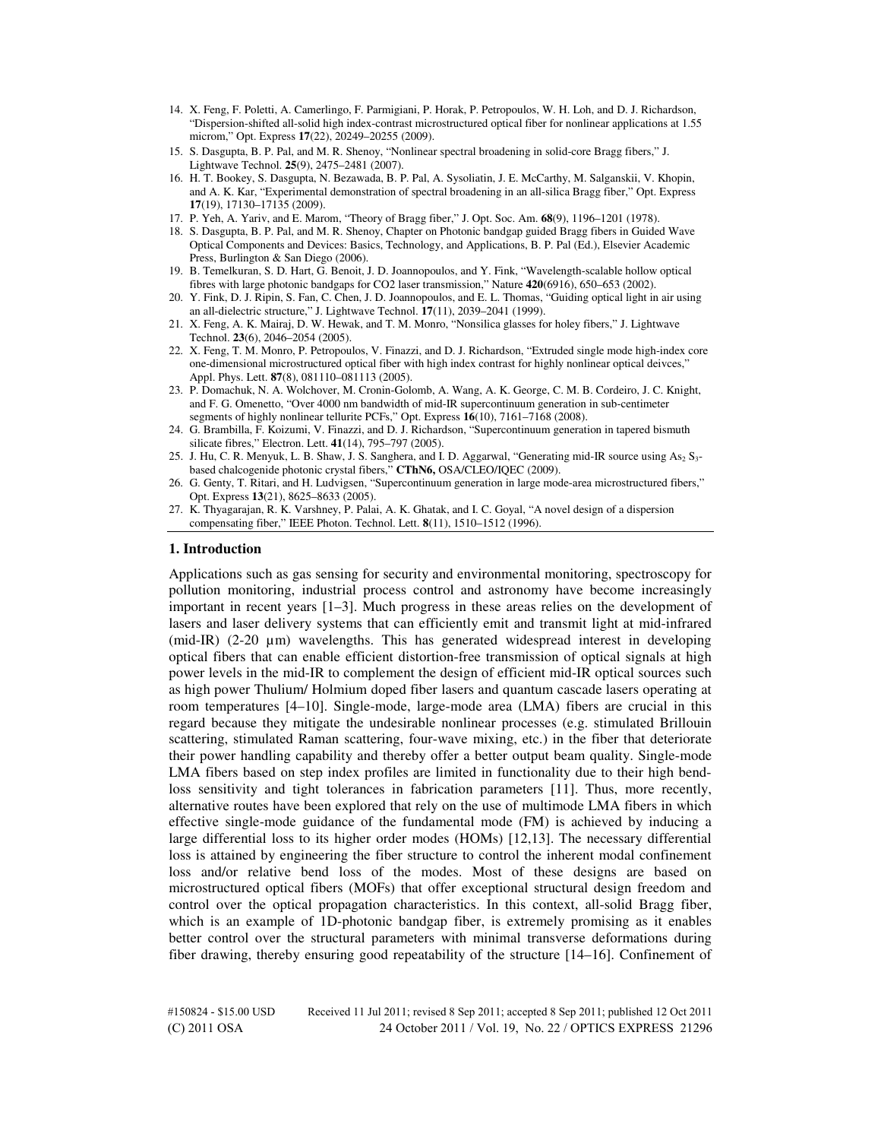- 14. X. Feng, F. Poletti, A. Camerlingo, F. Parmigiani, P. Horak, P. Petropoulos, W. H. Loh, and D. J. Richardson, "Dispersion-shifted all-solid high index-contrast microstructured optical fiber for nonlinear applications at 1.55 microm," Opt. Express **17**(22), 20249–20255 (2009).
- 15. S. Dasgupta, B. P. Pal, and M. R. Shenoy, "Nonlinear spectral broadening in solid-core Bragg fibers," J. Lightwave Technol. **25**(9), 2475–2481 (2007).
- 16. H. T. Bookey, S. Dasgupta, N. Bezawada, B. P. Pal, A. Sysoliatin, J. E. McCarthy, M. Salganskii, V. Khopin, and A. K. Kar, "Experimental demonstration of spectral broadening in an all-silica Bragg fiber," Opt. Express **17**(19), 17130–17135 (2009).
- 17. P. Yeh, A. Yariv, and E. Marom, "Theory of Bragg fiber," J. Opt. Soc. Am. **68**(9), 1196–1201 (1978).
- 18. S. Dasgupta, B. P. Pal, and M. R. Shenoy, Chapter on Photonic bandgap guided Bragg fibers in Guided Wave Optical Components and Devices: Basics, Technology, and Applications, B. P. Pal (Ed.), Elsevier Academic Press, Burlington & San Diego (2006).
- 19. B. Temelkuran, S. D. Hart, G. Benoit, J. D. Joannopoulos, and Y. Fink, "Wavelength-scalable hollow optical fibres with large photonic bandgaps for CO2 laser transmission," Nature **420**(6916), 650–653 (2002).
- 20. Y. Fink, D. J. Ripin, S. Fan, C. Chen, J. D. Joannopoulos, and E. L. Thomas, "Guiding optical light in air using an all-dielectric structure," J. Lightwave Technol. **17**(11), 2039–2041 (1999).
- 21. X. Feng, A. K. Mairaj, D. W. Hewak, and T. M. Monro, "Nonsilica glasses for holey fibers," J. Lightwave Technol. **23**(6), 2046–2054 (2005).
- 22. X. Feng, T. M. Monro, P. Petropoulos, V. Finazzi, and D. J. Richardson, "Extruded single mode high-index core one-dimensional microstructured optical fiber with high index contrast for highly nonlinear optical deivces," Appl. Phys. Lett. **87**(8), 081110–081113 (2005).
- 23. P. Domachuk, N. A. Wolchover, M. Cronin-Golomb, A. Wang, A. K. George, C. M. B. Cordeiro, J. C. Knight, and F. G. Omenetto, "Over 4000 nm bandwidth of mid-IR supercontinuum generation in sub-centimeter segments of highly nonlinear tellurite PCFs," Opt. Express **16**(10), 7161–7168 (2008).
- 24. G. Brambilla, F. Koizumi, V. Finazzi, and D. J. Richardson, "Supercontinuum generation in tapered bismuth silicate fibres," Electron. Lett. **41**(14), 795–797 (2005).
- 25. J. Hu, C. R. Menyuk, L. B. Shaw, J. S. Sanghera, and I. D. Aggarwal, "Generating mid-IR source using As<sub>2</sub> S<sub>3</sub>based chalcogenide photonic crystal fibers," **CThN6,** OSA/CLEO/IQEC (2009).
- 26. G. Genty, T. Ritari, and H. Ludvigsen, "Supercontinuum generation in large mode-area microstructured fibers," Opt. Express **13**(21), 8625–8633 (2005).

#### **1. Introduction**

Applications such as gas sensing for security and environmental monitoring, spectroscopy for pollution monitoring, industrial process control and astronomy have become increasingly important in recent years [1–3]. Much progress in these areas relies on the development of lasers and laser delivery systems that can efficiently emit and transmit light at mid-infrared (mid-IR) (2-20 µm) wavelengths. This has generated widespread interest in developing optical fibers that can enable efficient distortion-free transmission of optical signals at high power levels in the mid-IR to complement the design of efficient mid-IR optical sources such as high power Thulium/ Holmium doped fiber lasers and quantum cascade lasers operating at room temperatures [4–10]. Single-mode, large-mode area (LMA) fibers are crucial in this regard because they mitigate the undesirable nonlinear processes (e.g. stimulated Brillouin scattering, stimulated Raman scattering, four-wave mixing, etc.) in the fiber that deteriorate their power handling capability and thereby offer a better output beam quality. Single-mode LMA fibers based on step index profiles are limited in functionality due to their high bendloss sensitivity and tight tolerances in fabrication parameters [11]. Thus, more recently, alternative routes have been explored that rely on the use of multimode LMA fibers in which effective single-mode guidance of the fundamental mode (FM) is achieved by inducing a large differential loss to its higher order modes (HOMs) [12,13]. The necessary differential loss is attained by engineering the fiber structure to control the inherent modal confinement loss and/or relative bend loss of the modes. Most of these designs are based on microstructured optical fibers (MOFs) that offer exceptional structural design freedom and control over the optical propagation characteristics. In this context, all-solid Bragg fiber, which is an example of 1D-photonic bandgap fiber, is extremely promising as it enables better control over the structural parameters with minimal transverse deformations during fiber drawing, thereby ensuring good repeatability of the structure [14–16]. Confinement of

<sup>27.</sup> K. Thyagarajan, R. K. Varshney, P. Palai, A. K. Ghatak, and I. C. Goyal, "A novel design of a dispersion compensating fiber," IEEE Photon. Technol. Lett. **8**(11), 1510–1512 (1996).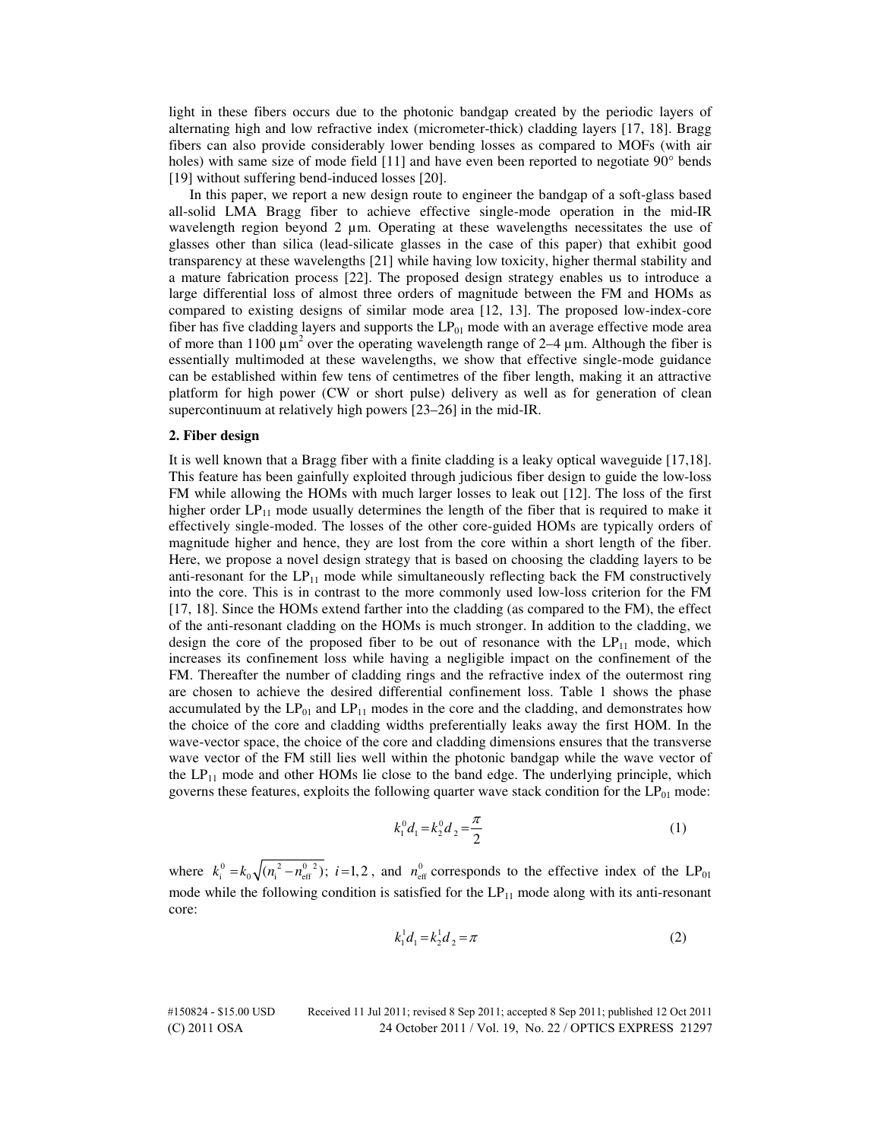light in these fibers occurs due to the photonic bandgap created by the periodic layers of alternating high and low refractive index (micrometer-thick) cladding layers [17, 18]. Bragg fibers can also provide considerably lower bending losses as compared to MOFs (with air holes) with same size of mode field [11] and have even been reported to negotiate 90<sup>°</sup> bends [19] without suffering bend-induced losses [20].

In this paper, we report a new design route to engineer the bandgap of a soft-glass based all-solid LMA Bragg fiber to achieve effective single-mode operation in the mid-IR wavelength region beyond  $2 \mu m$ . Operating at these wavelengths necessitates the use of glasses other than silica (lead-silicate glasses in the case of this paper) that exhibit good transparency at these wavelengths [21] while having low toxicity, higher thermal stability and a mature fabrication process [22]. The proposed design strategy enables us to introduce a large differential loss of almost three orders of magnitude between the FM and HOMs as compared to existing designs of similar mode area [12, 13]. The proposed low-index-core fiber has five cladding layers and supports the  $LP_{01}$  mode with an average effective mode area of more than 1100  $\mu$ m<sup>2</sup> over the operating wavelength range of 2–4  $\mu$ m. Although the fiber is essentially multimoded at these wavelengths, we show that effective single-mode guidance can be established within few tens of centimetres of the fiber length, making it an attractive platform for high power (CW or short pulse) delivery as well as for generation of clean supercontinuum at relatively high powers [23–26] in the mid-IR.

## **2. Fiber design**

It is well known that a Bragg fiber with a finite cladding is a leaky optical waveguide [17,18]. This feature has been gainfully exploited through judicious fiber design to guide the low-loss FM while allowing the HOMs with much larger losses to leak out [12]. The loss of the first higher order  $LP_{11}$  mode usually determines the length of the fiber that is required to make it effectively single-moded. The losses of the other core-guided HOMs are typically orders of magnitude higher and hence, they are lost from the core within a short length of the fiber. Here, we propose a novel design strategy that is based on choosing the cladding layers to be anti-resonant for the  $LP_{11}$  mode while simultaneously reflecting back the FM constructively into the core. This is in contrast to the more commonly used low-loss criterion for the FM [17, 18]. Since the HOMs extend farther into the cladding (as compared to the FM), the effect of the anti-resonant cladding on the HOMs is much stronger. In addition to the cladding, we design the core of the proposed fiber to be out of resonance with the  $LP_{11}$  mode, which increases its confinement loss while having a negligible impact on the confinement of the FM. Thereafter the number of cladding rings and the refractive index of the outermost ring are chosen to achieve the desired differential confinement loss. Table 1 shows the phase accumulated by the  $LP_{01}$  and  $LP_{11}$  modes in the core and the cladding, and demonstrates how the choice of the core and cladding widths preferentially leaks away the first HOM. In the wave-vector space, the choice of the core and cladding dimensions ensures that the transverse wave vector of the FM still lies well within the photonic bandgap while the wave vector of the  $LP_{11}$  mode and other HOMs lie close to the band edge. The underlying principle, which governs these features, exploits the following quarter wave stack condition for the  $LP_{01}$  mode:

$$
k_1^0 d_1 = k_2^0 d_2 = \frac{\pi}{2}
$$
 (1)

where  $k_i^0 = k_0 \sqrt{(n_i^2 - n_{\text{eff}}^0)^2}$ ;  $i = 1, 2$ , and  $n_{\text{eff}}^0$  corresponds to the effective index of the LP<sub>01</sub> mode while the following condition is satisfied for the  $LP_{11}$  mode along with its anti-resonant core:

$$
k_1^1 d_1 = k_2^1 d_2 = \pi \tag{2}
$$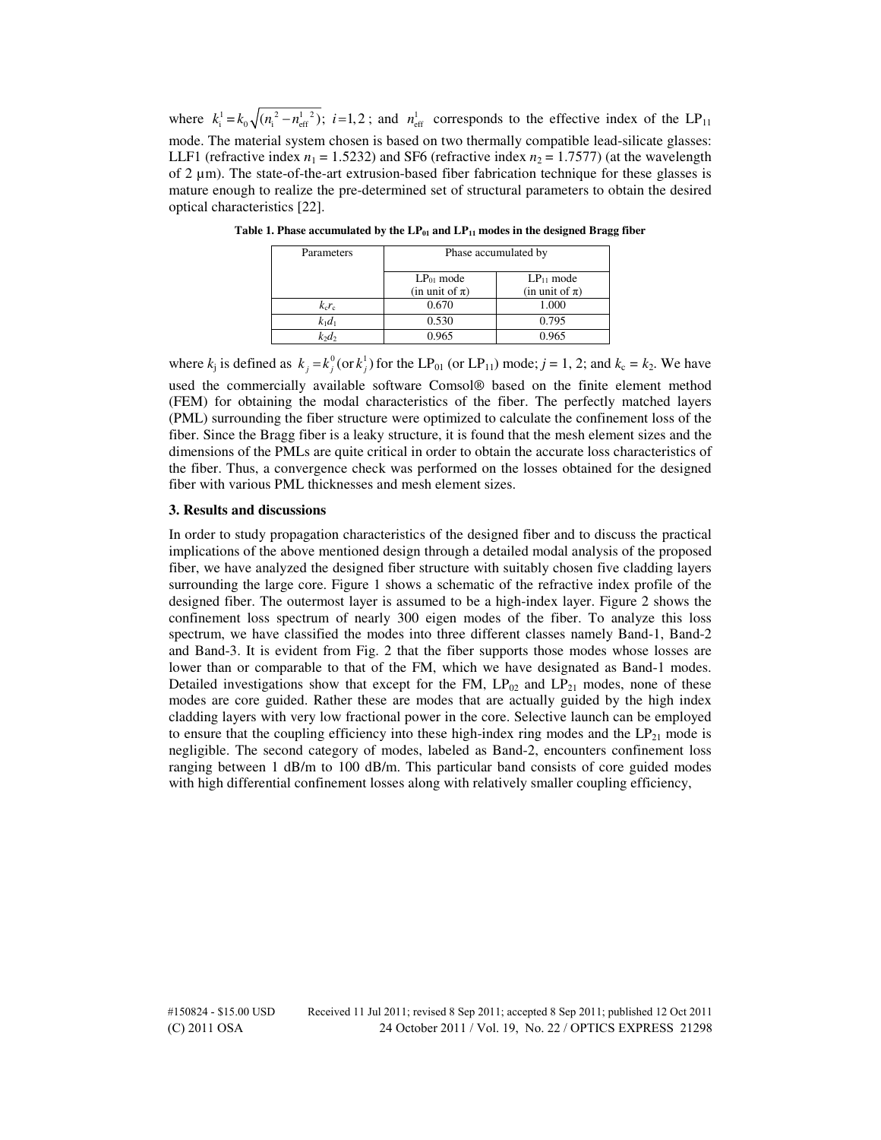where  $k_i^1 = k_0 \sqrt{(n_i^2 - n_{\text{eff}}^{1/2})}$ ; i=1,2; and  $n_{\text{eff}}^1$  corresponds to the effective index of the LP<sub>11</sub> mode. The material system chosen is based on two thermally compatible lead-silicate glasses: LLF1 (refractive index  $n_1 = 1.5232$ ) and SF6 (refractive index  $n_2 = 1.7577$ ) (at the wavelength of 2  $\mu$ m). The state-of-the-art extrusion-based fiber fabrication technique for these glasses is mature enough to realize the pre-determined set of structural parameters to obtain the desired optical characteristics [22].

| Parameters | Phase accumulated by                  |                                       |
|------------|---------------------------------------|---------------------------------------|
|            | $LP_{01}$ mode<br>(in unit of $\pi$ ) | $LP_{11}$ mode<br>(in unit of $\pi$ ) |
| $k_c r_c$  | 0.670                                 | 1.000                                 |
| $k_1d_1$   | 0.530                                 | 0.795                                 |
|            | 0.965                                 |                                       |

**Table 1. Phase accumulated by the LP01 and LP11 modes in the designed Bragg fiber** 

where  $k_j$  is defined as  $k_j = k_j^0$  (or  $k_j^1$ ) for the LP<sub>01</sub> (or LP<sub>11</sub>) mode;  $j = 1, 2$ ; and  $k_c = k_2$ . We have used the commercially available software Comsol® based on the finite element method (FEM) for obtaining the modal characteristics of the fiber. The perfectly matched layers (PML) surrounding the fiber structure were optimized to calculate the confinement loss of the fiber. Since the Bragg fiber is a leaky structure, it is found that the mesh element sizes and the dimensions of the PMLs are quite critical in order to obtain the accurate loss characteristics of the fiber. Thus, a convergence check was performed on the losses obtained for the designed fiber with various PML thicknesses and mesh element sizes.

#### **3. Results and discussions**

In order to study propagation characteristics of the designed fiber and to discuss the practical implications of the above mentioned design through a detailed modal analysis of the proposed fiber, we have analyzed the designed fiber structure with suitably chosen five cladding layers surrounding the large core. Figure 1 shows a schematic of the refractive index profile of the designed fiber. The outermost layer is assumed to be a high-index layer. Figure 2 shows the confinement loss spectrum of nearly 300 eigen modes of the fiber. To analyze this loss spectrum, we have classified the modes into three different classes namely Band-1, Band-2 and Band-3. It is evident from Fig. 2 that the fiber supports those modes whose losses are lower than or comparable to that of the FM, which we have designated as Band-1 modes. Detailed investigations show that except for the FM,  $LP_{02}$  and  $LP_{21}$  modes, none of these modes are core guided. Rather these are modes that are actually guided by the high index cladding layers with very low fractional power in the core. Selective launch can be employed to ensure that the coupling efficiency into these high-index ring modes and the  $LP_{21}$  mode is negligible. The second category of modes, labeled as Band-2, encounters confinement loss ranging between 1 dB/m to 100 dB/m. This particular band consists of core guided modes with high differential confinement losses along with relatively smaller coupling efficiency,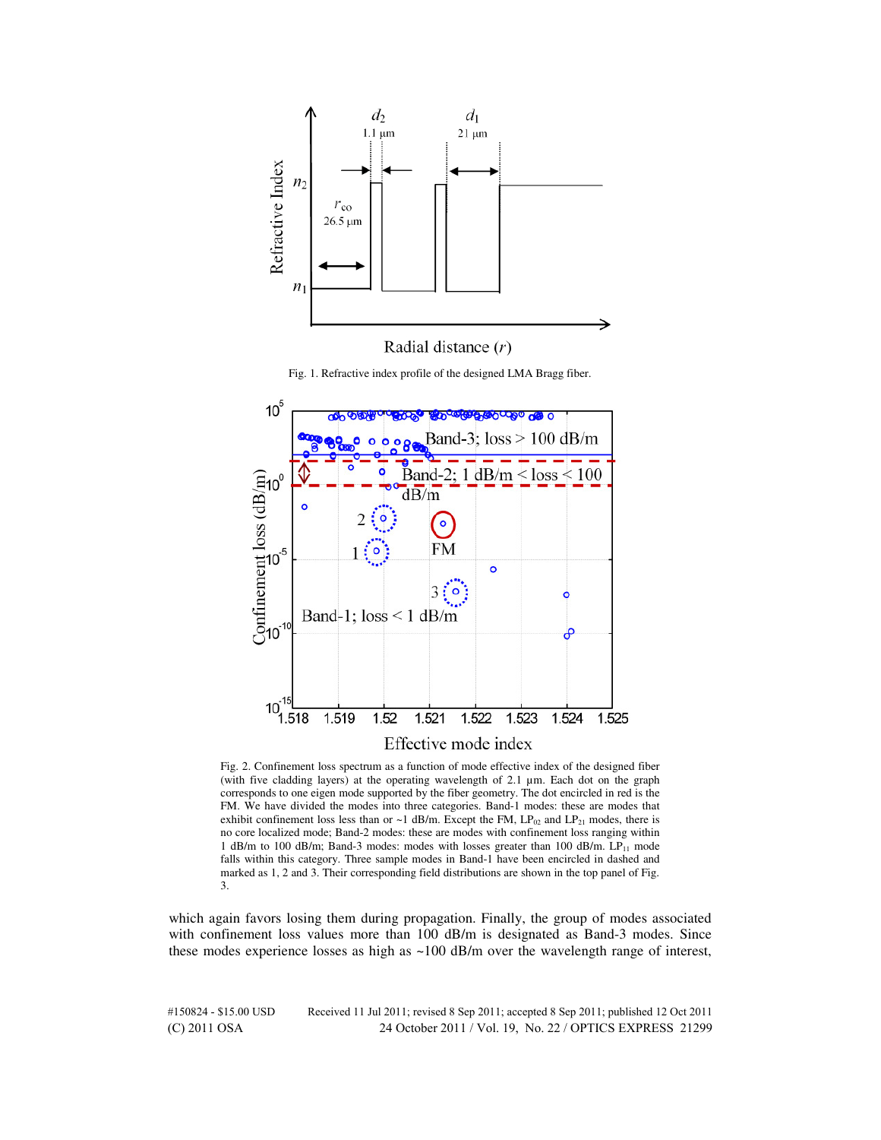

Fig. 1. Refractive index profile of the designed LMA Bragg fiber.



Fig. 2. Confinement loss spectrum as a function of mode effective index of the designed fiber (with five cladding layers) at the operating wavelength of 2.1 µm. Each dot on the graph corresponds to one eigen mode supported by the fiber geometry. The dot encircled in red is the FM. We have divided the modes into three categories. Band-1 modes: these are modes that exhibit confinement loss less than or  $\sim$  1 dB/m. Except the FM, LP<sub>02</sub> and LP<sub>21</sub> modes, there is no core localized mode; Band-2 modes: these are modes with confinement loss ranging within 1 dB/m to 100 dB/m; Band-3 modes: modes with losses greater than 100 dB/m.  $LP_{11}$  mode falls within this category. Three sample modes in Band-1 have been encircled in dashed and marked as 1, 2 and 3. Their corresponding field distributions are shown in the top panel of Fig. 3.

which again favors losing them during propagation. Finally, the group of modes associated with confinement loss values more than 100 dB/m is designated as Band-3 modes. Since these modes experience losses as high as  $\sim$ 100 dB/m over the wavelength range of interest,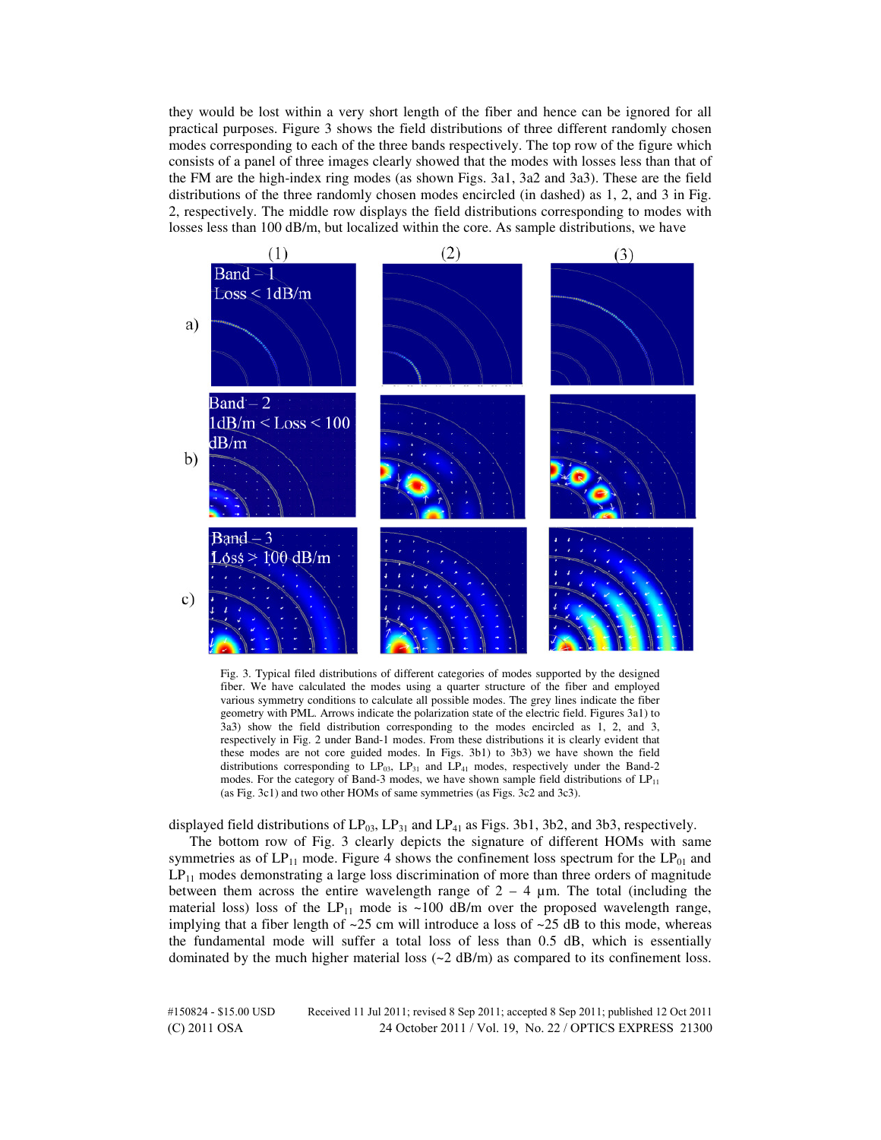they would be lost within a very short length of the fiber and hence can be ignored for all practical purposes. Figure 3 shows the field distributions of three different randomly chosen modes corresponding to each of the three bands respectively. The top row of the figure which consists of a panel of three images clearly showed that the modes with losses less than that of the FM are the high-index ring modes (as shown Figs. 3a1, 3a2 and 3a3). These are the field distributions of the three randomly chosen modes encircled (in dashed) as 1, 2, and 3 in Fig. 2, respectively. The middle row displays the field distributions corresponding to modes with losses less than 100 dB/m, but localized within the core. As sample distributions, we have



Fig. 3. Typical filed distributions of different categories of modes supported by the designed fiber. We have calculated the modes using a quarter structure of the fiber and employed various symmetry conditions to calculate all possible modes. The grey lines indicate the fiber geometry with PML. Arrows indicate the polarization state of the electric field. Figures 3a1) to 3a3) show the field distribution corresponding to the modes encircled as 1, 2, and 3, respectively in Fig. 2 under Band-1 modes. From these distributions it is clearly evident that these modes are not core guided modes. In Figs. 3b1) to 3b3) we have shown the field distributions corresponding to  $LP_{03}$ ,  $LP_{31}$  and  $LP_{41}$  modes, respectively under the Band-2 modes. For the category of Band-3 modes, we have shown sample field distributions of  $LP_{11}$ (as Fig. 3c1) and two other HOMs of same symmetries (as Figs. 3c2 and 3c3).

displayed field distributions of  $LP_{03}$ ,  $LP_{31}$  and  $LP_{41}$  as Figs. 3b1, 3b2, and 3b3, respectively.

The bottom row of Fig. 3 clearly depicts the signature of different HOMs with same symmetries as of  $LP_{11}$  mode. Figure 4 shows the confinement loss spectrum for the  $LP_{01}$  and  $LP_{11}$  modes demonstrating a large loss discrimination of more than three orders of magnitude between them across the entire wavelength range of  $2 - 4 \mu m$ . The total (including the material loss) loss of the LP<sub>11</sub> mode is ~100 dB/m over the proposed wavelength range, implying that a fiber length of  $\sim$ 25 cm will introduce a loss of  $\sim$ 25 dB to this mode, whereas the fundamental mode will suffer a total loss of less than 0.5 dB, which is essentially dominated by the much higher material loss  $(\sim 2 \text{ dB/m})$  as compared to its confinement loss.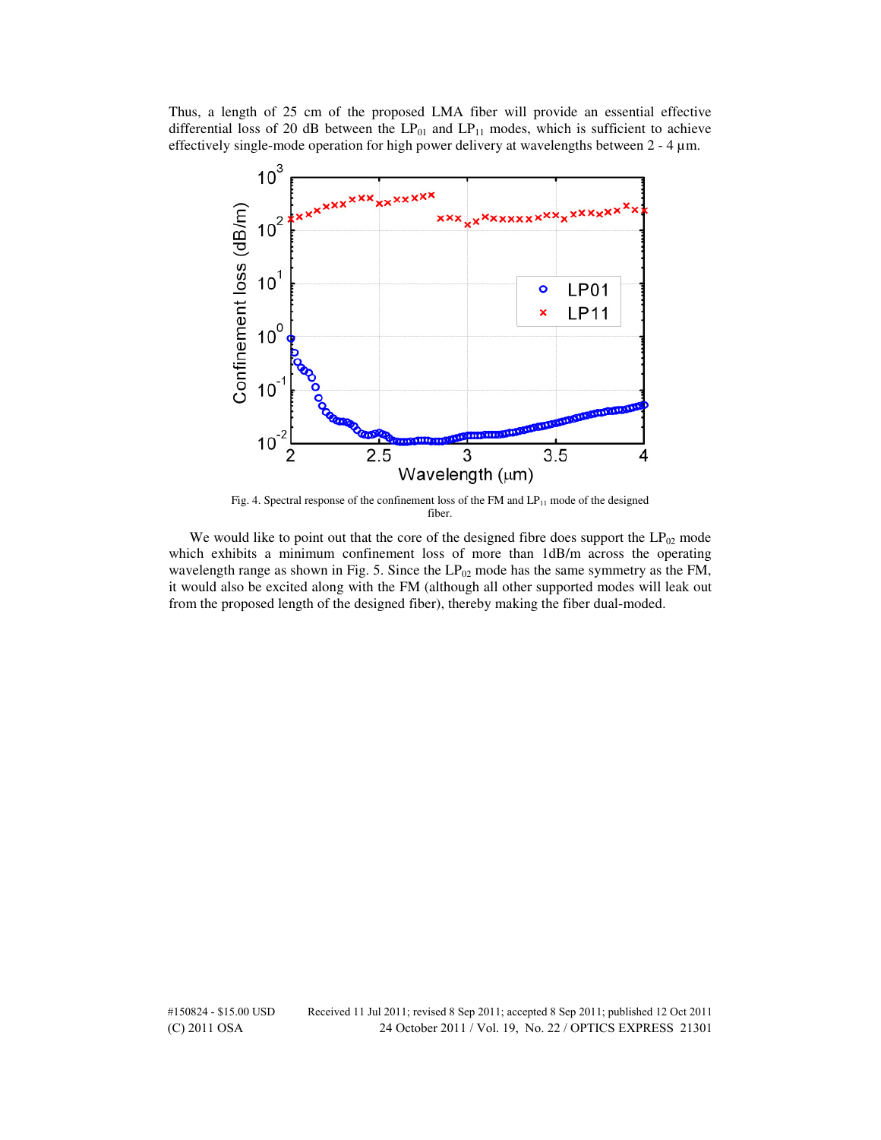Thus, a length of 25 cm of the proposed LMA fiber will provide an essential effective differential loss of 20 dB between the  $LP_{01}$  and  $LP_{11}$  modes, which is sufficient to achieve effectively single-mode operation for high power delivery at wavelengths between 2 - 4 µm.



Fig. 4. Spectral response of the confinement loss of the FM and  $LP_{11}$  mode of the designed fiber.

We would like to point out that the core of the designed fibre does support the  $LP_{02}$  mode which exhibits a minimum confinement loss of more than  $1dB/m$  across the operating wavelength range as shown in Fig. 5. Since the  $LP_{02}$  mode has the same symmetry as the FM, it would also be excited along with the FM (although all other supported modes will leak out from the proposed length of the designed fiber), thereby making the fiber dual-moded.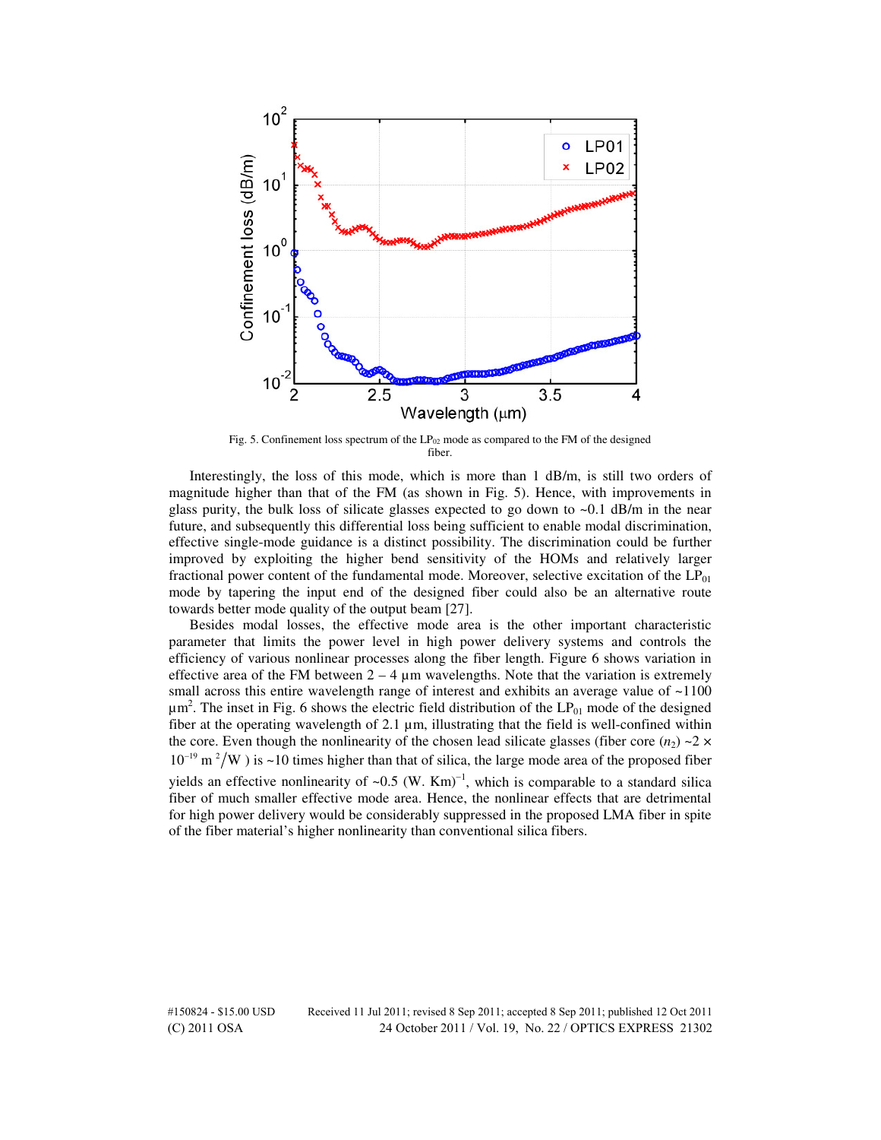

Fig. 5. Confinement loss spectrum of the  $LP_{02}$  mode as compared to the FM of the designed fiber.

Interestingly, the loss of this mode, which is more than 1 dB/m, is still two orders of magnitude higher than that of the FM (as shown in Fig. 5). Hence, with improvements in glass purity, the bulk loss of silicate glasses expected to go down to  $\sim 0.1$  dB/m in the near future, and subsequently this differential loss being sufficient to enable modal discrimination, effective single-mode guidance is a distinct possibility. The discrimination could be further improved by exploiting the higher bend sensitivity of the HOMs and relatively larger fractional power content of the fundamental mode. Moreover, selective excitation of the  $LP_{01}$ mode by tapering the input end of the designed fiber could also be an alternative route towards better mode quality of the output beam [27].

Besides modal losses, the effective mode area is the other important characteristic parameter that limits the power level in high power delivery systems and controls the efficiency of various nonlinear processes along the fiber length. Figure 6 shows variation in effective area of the FM between  $2 - 4 \mu m$  wavelengths. Note that the variation is extremely small across this entire wavelength range of interest and exhibits an average value of  $\sim$ 1100  $\mu$ m<sup>2</sup>. The inset in Fig. 6 shows the electric field distribution of the LP<sub>01</sub> mode of the designed fiber at the operating wavelength of  $2.1 \mu m$ , illustrating that the field is well-confined within the core. Even though the nonlinearity of the chosen lead silicate glasses (fiber core  $(n_2) \sim 2 \times$  $10^{-19}$  m<sup>2</sup>/W ) is ~10 times higher than that of silica, the large mode area of the proposed fiber yields an effective nonlinearity of ~0.5  $(W. Km)^{-1}$ , which is comparable to a standard silica fiber of much smaller effective mode area. Hence, the nonlinear effects that are detrimental for high power delivery would be considerably suppressed in the proposed LMA fiber in spite of the fiber material's higher nonlinearity than conventional silica fibers.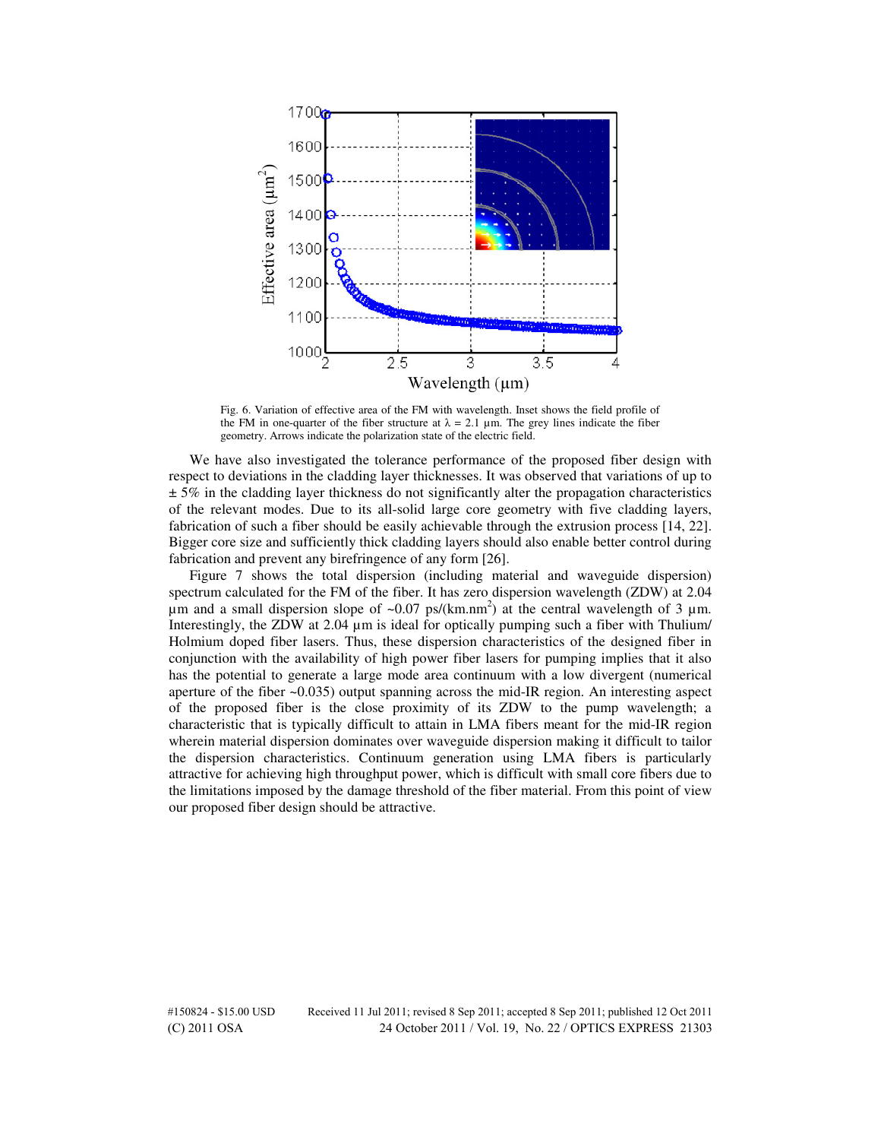

Fig. 6. Variation of effective area of the FM with wavelength. Inset shows the field profile of the FM in one-quarter of the fiber structure at  $\lambda = 2.1 \mu m$ . The grey lines indicate the fiber geometry. Arrows indicate the polarization state of the electric field.

We have also investigated the tolerance performance of the proposed fiber design with respect to deviations in the cladding layer thicknesses. It was observed that variations of up to  $\pm$  5% in the cladding layer thickness do not significantly alter the propagation characteristics of the relevant modes. Due to its all-solid large core geometry with five cladding layers, fabrication of such a fiber should be easily achievable through the extrusion process [14, 22]. Bigger core size and sufficiently thick cladding layers should also enable better control during fabrication and prevent any birefringence of any form [26].

Figure 7 shows the total dispersion (including material and waveguide dispersion) spectrum calculated for the FM of the fiber. It has zero dispersion wavelength (ZDW) at 2.04  $\mu$ m and a small dispersion slope of ~0.07 ps/(km.nm<sup>2</sup>) at the central wavelength of 3  $\mu$ m. Interestingly, the ZDW at 2.04 µm is ideal for optically pumping such a fiber with Thulium/ Holmium doped fiber lasers. Thus, these dispersion characteristics of the designed fiber in conjunction with the availability of high power fiber lasers for pumping implies that it also has the potential to generate a large mode area continuum with a low divergent (numerical aperture of the fiber ~0.035) output spanning across the mid-IR region. An interesting aspect of the proposed fiber is the close proximity of its ZDW to the pump wavelength; a characteristic that is typically difficult to attain in LMA fibers meant for the mid-IR region wherein material dispersion dominates over waveguide dispersion making it difficult to tailor the dispersion characteristics. Continuum generation using LMA fibers is particularly attractive for achieving high throughput power, which is difficult with small core fibers due to the limitations imposed by the damage threshold of the fiber material. From this point of view our proposed fiber design should be attractive.